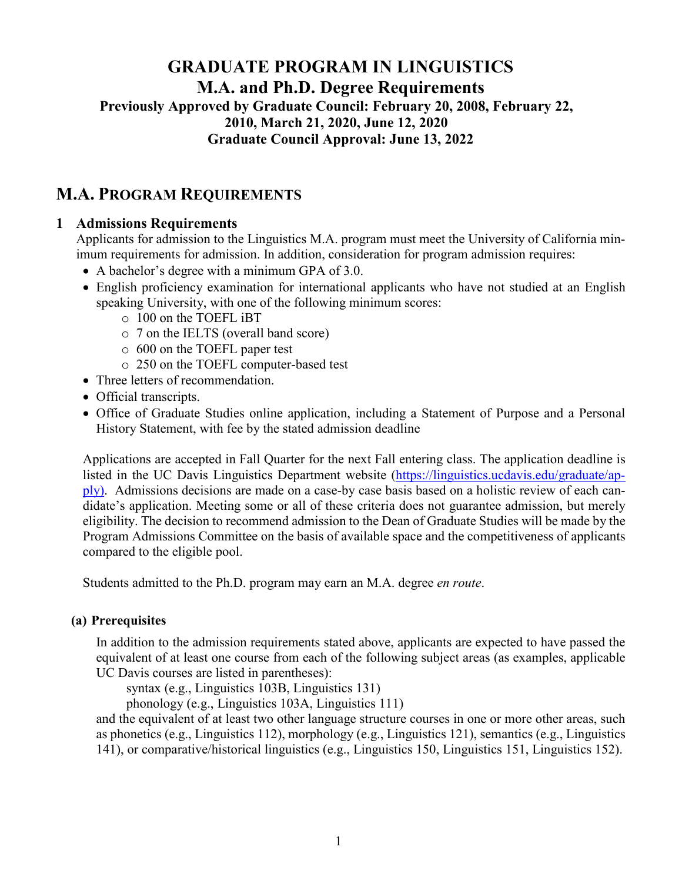# **GRADUATE PROGRAM IN LINGUISTICS M.A. and Ph.D. Degree Requirements Previously Approved by Graduate Council: February 20, 2008, February 22, 2010, March 21, 2020, June 12, 2020 Graduate Council Approval: June 13, 2022**

# **M.A. PROGRAM REQUIREMENTS**

### **1 Admissions Requirements**

Applicants for admission to the Linguistics M.A. program must meet the University of California minimum requirements for admission. In addition, consideration for program admission requires:

- A bachelor's degree with a minimum GPA of 3.0.
- English proficiency examination for international applicants who have not studied at an English speaking University, with one of the following minimum scores:
	- o 100 on the TOEFL iBT
	- o 7 on the IELTS (overall band score)
	- o 600 on the TOEFL paper test
	- o 250 on the TOEFL computer-based test
- Three letters of recommendation.
- Official transcripts.
- Office of Graduate Studies online application, including a Statement of Purpose and a Personal History Statement, with fee by the stated admission deadline

Applications are accepted in Fall Quarter for the next Fall entering class. The application deadline is listed in the UC Davis Linguistics Department website [\(https://linguistics.ucdavis.edu/graduate/ap](https://linguistics.ucdavis.edu/graduate/apply))[ply\).](https://linguistics.ucdavis.edu/graduate/apply)) Admissions decisions are made on a case-by case basis based on a holistic review of each candidate's application. Meeting some or all of these criteria does not guarantee admission, but merely eligibility. The decision to recommend admission to the Dean of Graduate Studies will be made by the Program Admissions Committee on the basis of available space and the competitiveness of applicants compared to the eligible pool.

Students admitted to the Ph.D. program may earn an M.A. degree *en route*.

#### **(a) Prerequisites**

In addition to the admission requirements stated above, applicants are expected to have passed the equivalent of at least one course from each of the following subject areas (as examples, applicable UC Davis courses are listed in parentheses):

syntax (e.g., Linguistics 103B, Linguistics 131)

phonology (e.g., Linguistics 103A, Linguistics 111)

and the equivalent of at least two other language structure courses in one or more other areas, such as phonetics (e.g., Linguistics 112), morphology (e.g., Linguistics 121), semantics (e.g., Linguistics 141), or comparative/historical linguistics (e.g., Linguistics 150, Linguistics 151, Linguistics 152).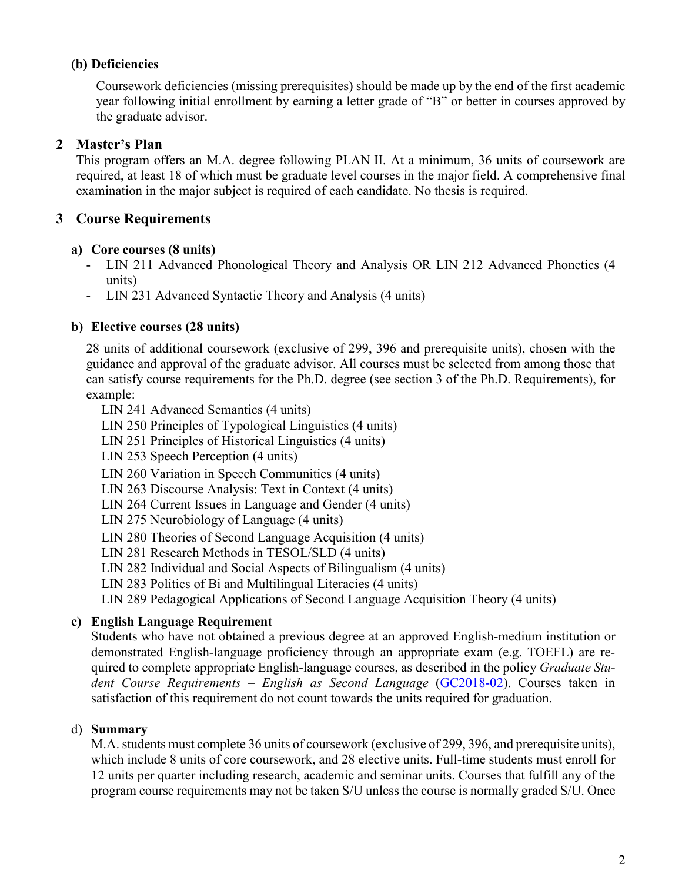### **(b) Deficiencies**

Coursework deficiencies (missing prerequisites) should be made up by the end of the first academic year following initial enrollment by earning a letter grade of "B" or better in courses approved by the graduate advisor.

### **2 Master's Plan**

This program offers an M.A. degree following PLAN II. At a minimum, 36 units of coursework are required, at least 18 of which must be graduate level courses in the major field. A comprehensive final examination in the major subject is required of each candidate. No thesis is required.

### **3 Course Requirements**

#### **a) Core courses (8 units)**

- LIN 211 Advanced Phonological Theory and Analysis OR LIN 212 Advanced Phonetics (4 units)
- LIN 231 Advanced Syntactic Theory and Analysis (4 units)

#### **b) Elective courses (28 units)**

28 units of additional coursework (exclusive of 299, 396 and prerequisite units), chosen with the guidance and approval of the graduate advisor. All courses must be selected from among those that can satisfy course requirements for the Ph.D. degree (see section 3 of the Ph.D. Requirements), for example:

- LIN 241 Advanced Semantics (4 units)
- LIN 250 Principles of Typological Linguistics (4 units)
- LIN 251 Principles of Historical Linguistics (4 units)
- LIN 253 Speech Perception (4 units)
- LIN 260 Variation in Speech Communities (4 units)
- LIN 263 Discourse Analysis: Text in Context (4 units)
- LIN 264 Current Issues in Language and Gender (4 units)
- LIN 275 Neurobiology of Language (4 units)
- LIN 280 Theories of Second Language Acquisition (4 units)
- LIN 281 Research Methods in TESOL/SLD (4 units)
- LIN 282 Individual and Social Aspects of Bilingualism (4 units)
- LIN 283 Politics of Bi and Multilingual Literacies (4 units)

LIN 289 Pedagogical Applications of Second Language Acquisition Theory (4 units)

#### **c) English Language Requirement**

Students who have not obtained a previous degree at an approved English-medium institution or demonstrated English-language proficiency through an appropriate exam (e.g. TOEFL) are required to complete appropriate English-language courses, as described in the policy *Graduate Student Course Requirements – English as Second Language* [\(GC2018-02\)](https://grad.ucdavis.edu/sites/default/files/upload/files/grad-council/gc2018-02_policy_on_graduate_student_course_requirements_english_as_second_language.pdf). Courses taken in satisfaction of this requirement do not count towards the units required for graduation.

#### d) **Summary**

M.A. students must complete 36 units of coursework (exclusive of 299, 396, and prerequisite units), which include 8 units of core coursework, and 28 elective units. Full-time students must enroll for 12 units per quarter including research, academic and seminar units. Courses that fulfill any of the program course requirements may not be taken S/U unless the course is normally graded S/U. Once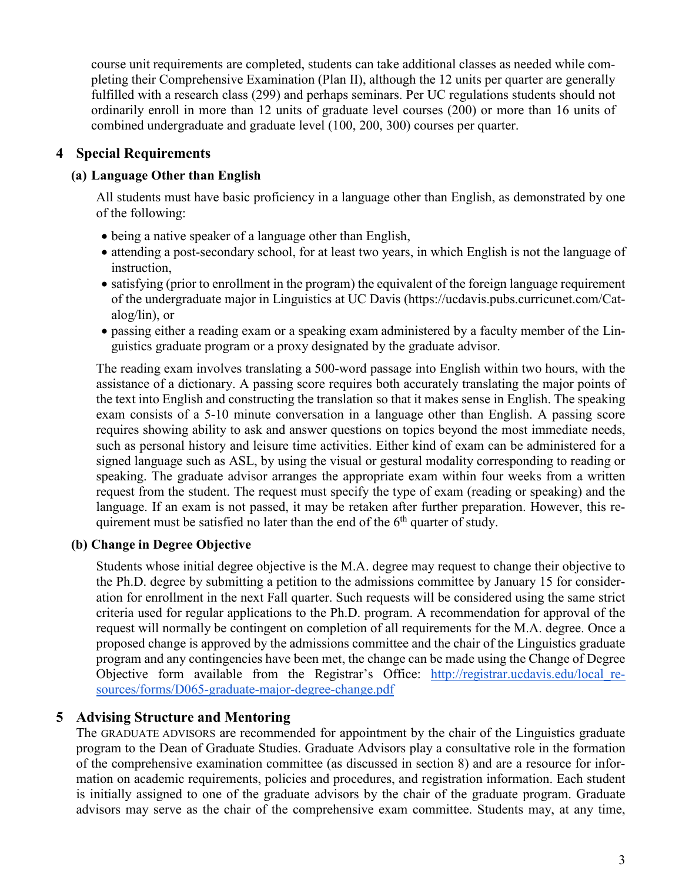course unit requirements are completed, students can take additional classes as needed while completing their Comprehensive Examination (Plan II), although the 12 units per quarter are generally fulfilled with a research class (299) and perhaps seminars. Per UC regulations students should not ordinarily enroll in more than 12 units of graduate level courses (200) or more than 16 units of combined undergraduate and graduate level (100, 200, 300) courses per quarter.

## **4 Special Requirements**

## **(a) Language Other than English**

All students must have basic proficiency in a language other than English, as demonstrated by one of the following:

- being a native speaker of a language other than English,
- attending a post-secondary school, for at least two years, in which English is not the language of instruction,
- satisfying (prior to enrollment in the program) the equivalent of the foreign language requirement of the undergraduate major in Linguistics at UC Davis (https://ucdavis.pubs.curricunet.com/Catalog/lin), or
- passing either a reading exam or a speaking exam administered by a faculty member of the Linguistics graduate program or a proxy designated by the graduate advisor.

The reading exam involves translating a 500-word passage into English within two hours, with the assistance of a dictionary. A passing score requires both accurately translating the major points of the text into English and constructing the translation so that it makes sense in English. The speaking exam consists of a 5-10 minute conversation in a language other than English. A passing score requires showing ability to ask and answer questions on topics beyond the most immediate needs, such as personal history and leisure time activities. Either kind of exam can be administered for a signed language such as ASL, by using the visual or gestural modality corresponding to reading or speaking. The graduate advisor arranges the appropriate exam within four weeks from a written request from the student. The request must specify the type of exam (reading or speaking) and the language. If an exam is not passed, it may be retaken after further preparation. However, this requirement must be satisfied no later than the end of the  $6<sup>th</sup>$  quarter of study.

## **(b) Change in Degree Objective**

Students whose initial degree objective is the M.A. degree may request to change their objective to the Ph.D. degree by submitting a petition to the admissions committee by January 15 for consideration for enrollment in the next Fall quarter. Such requests will be considered using the same strict criteria used for regular applications to the Ph.D. program. A recommendation for approval of the request will normally be contingent on completion of all requirements for the M.A. degree. Once a proposed change is approved by the admissions committee and the chair of the Linguistics graduate program and any contingencies have been met, the change can be made using the Change of Degree Objective form available from the Registrar's Office: [http://registrar.ucdavis.edu/local\\_re](http://registrar.ucdavis.edu/local_resources/forms/D065-graduate-major-degree-change.pdf)[sources/forms/D065-graduate-major-degree-change.pdf](http://registrar.ucdavis.edu/local_resources/forms/D065-graduate-major-degree-change.pdf)

## **5 Advising Structure and Mentoring**

The GRADUATE ADVISORS are recommended for appointment by the chair of the Linguistics graduate program to the Dean of Graduate Studies. Graduate Advisors play a consultative role in the formation of the comprehensive examination committee (as discussed in section 8) and are a resource for information on academic requirements, policies and procedures, and registration information. Each student is initially assigned to one of the graduate advisors by the chair of the graduate program. Graduate advisors may serve as the chair of the comprehensive exam committee. Students may, at any time,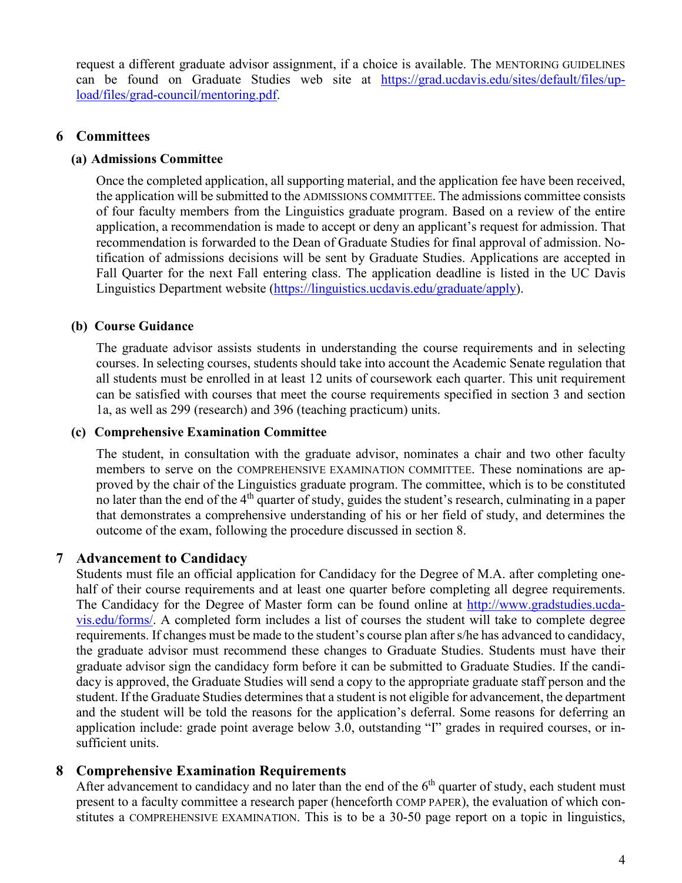request a different graduate advisor assignment, if a choice is available. The MENTORING GUIDELINES can be found on Graduate Studies web site at [https://grad.ucdavis.edu/sites/default/files/up](https://grad.ucdavis.edu/sites/default/files/upload/files/grad-council/mentoring.pdf)[load/files/grad-council/mentoring.pdf.](https://grad.ucdavis.edu/sites/default/files/upload/files/grad-council/mentoring.pdf)

### **6 Committees**

#### **(a) Admissions Committee**

Once the completed application, all supporting material, and the application fee have been received, the application will be submitted to the ADMISSIONS COMMITTEE. The admissions committee consists of four faculty members from the Linguistics graduate program. Based on a review of the entire application, a recommendation is made to accept or deny an applicant's request for admission. That recommendation is forwarded to the Dean of Graduate Studies for final approval of admission. Notification of admissions decisions will be sent by Graduate Studies. Applications are accepted in Fall Quarter for the next Fall entering class. The application deadline is listed in the UC Davis Linguistics Department website [\(https://linguistics.ucdavis.edu/graduate/apply\)](https://linguistics.ucdavis.edu/graduate/apply).

#### **(b) Course Guidance**

The graduate advisor assists students in understanding the course requirements and in selecting courses. In selecting courses, students should take into account the Academic Senate regulation that all students must be enrolled in at least 12 units of coursework each quarter. This unit requirement can be satisfied with courses that meet the course requirements specified in section 3 and section 1a, as well as 299 (research) and 396 (teaching practicum) units.

#### **(c) Comprehensive Examination Committee**

The student, in consultation with the graduate advisor, nominates a chair and two other faculty members to serve on the COMPREHENSIVE EXAMINATION COMMITTEE. These nominations are approved by the chair of the Linguistics graduate program. The committee, which is to be constituted no later than the end of the 4<sup>th</sup> quarter of study, guides the student's research, culminating in a paper that demonstrates a comprehensive understanding of his or her field of study, and determines the outcome of the exam, following the procedure discussed in section 8.

#### **7 Advancement to Candidacy**

Students must file an official application for Candidacy for the Degree of M.A. after completing onehalf of their course requirements and at least one quarter before completing all degree requirements. The Candidacy for the Degree of Master form can be found online at [http://www.gradstudies.ucda](http://www.gradstudies.ucdavis.edu/forms/)[vis.edu/forms/.](http://www.gradstudies.ucdavis.edu/forms/) A completed form includes a list of courses the student will take to complete degree requirements. If changes must be made to the student's course plan after s/he has advanced to candidacy, the graduate advisor must recommend these changes to Graduate Studies. Students must have their graduate advisor sign the candidacy form before it can be submitted to Graduate Studies. If the candidacy is approved, the Graduate Studies will send a copy to the appropriate graduate staff person and the student. If the Graduate Studies determines that a student is not eligible for advancement, the department and the student will be told the reasons for the application's deferral. Some reasons for deferring an application include: grade point average below 3.0, outstanding "I" grades in required courses, or insufficient units.

#### **8 Comprehensive Examination Requirements**

After advancement to candidacy and no later than the end of the  $6<sup>th</sup>$  quarter of study, each student must present to a faculty committee a research paper (henceforth COMP PAPER), the evaluation of which constitutes a COMPREHENSIVE EXAMINATION. This is to be a 30-50 page report on a topic in linguistics,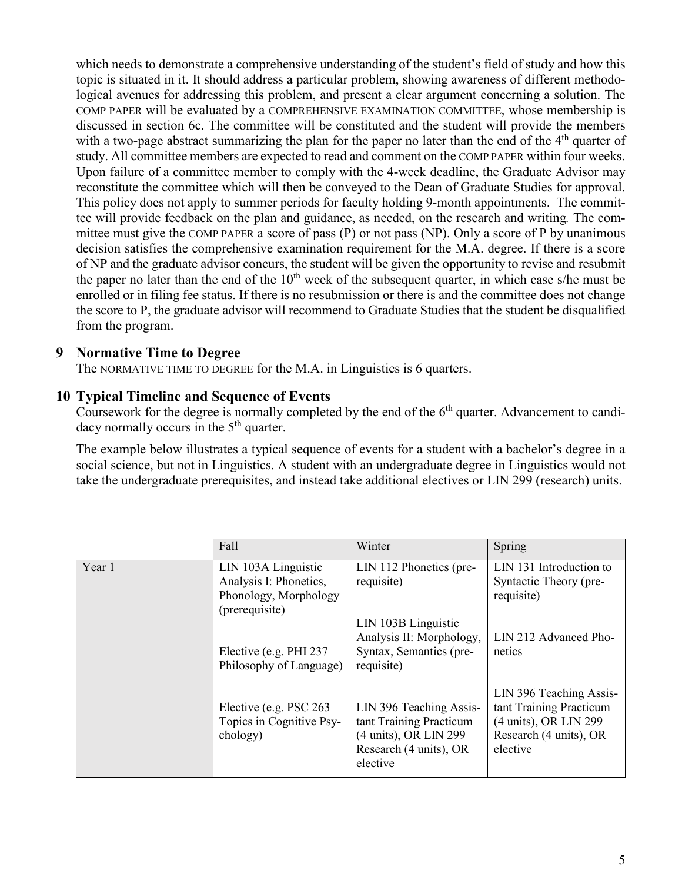which needs to demonstrate a comprehensive understanding of the student's field of study and how this topic is situated in it. It should address a particular problem, showing awareness of different methodological avenues for addressing this problem, and present a clear argument concerning a solution. The COMP PAPER will be evaluated by a COMPREHENSIVE EXAMINATION COMMITTEE, whose membership is discussed in section 6c. The committee will be constituted and the student will provide the members with a two-page abstract summarizing the plan for the paper no later than the end of the 4<sup>th</sup> quarter of study. All committee members are expected to read and comment on the COMP PAPER within four weeks. Upon failure of a committee member to comply with the 4-week deadline, the Graduate Advisor may reconstitute the committee which will then be conveyed to the Dean of Graduate Studies for approval. This policy does not apply to summer periods for faculty holding 9-month appointments. The committee will provide feedback on the plan and guidance, as needed, on the research and writing*.* The committee must give the COMP PAPER a score of pass (P) or not pass (NP). Only a score of P by unanimous decision satisfies the comprehensive examination requirement for the M.A. degree. If there is a score of NP and the graduate advisor concurs, the student will be given the opportunity to revise and resubmit the paper no later than the end of the  $10<sup>th</sup>$  week of the subsequent quarter, in which case s/he must be enrolled or in filing fee status. If there is no resubmission or there is and the committee does not change the score to P, the graduate advisor will recommend to Graduate Studies that the student be disqualified from the program.

#### **9 Normative Time to Degree**

The NORMATIVE TIME TO DEGREE for the M.A. in Linguistics is 6 quarters.

#### **10 Typical Timeline and Sequence of Events**

Coursework for the degree is normally completed by the end of the  $6<sup>th</sup>$  quarter. Advancement to candidacy normally occurs in the  $5<sup>th</sup>$  quarter.

The example below illustrates a typical sequence of events for a student with a bachelor's degree in a social science, but not in Linguistics. A student with an undergraduate degree in Linguistics would not take the undergraduate prerequisites, and instead take additional electives or LIN 299 (research) units.

|        | Fall                                                                                     | Winter                                                                                                            | Spring                                                                                                            |
|--------|------------------------------------------------------------------------------------------|-------------------------------------------------------------------------------------------------------------------|-------------------------------------------------------------------------------------------------------------------|
| Year 1 | LIN 103A Linguistic<br>Analysis I: Phonetics,<br>Phonology, Morphology<br>(prerequisite) | LIN 112 Phonetics (pre-<br>requisite)<br>LIN 103B Linguistic                                                      | LIN 131 Introduction to<br>Syntactic Theory (pre-<br>requisite)                                                   |
|        | Elective (e.g. PHI 237<br>Philosophy of Language)                                        | Analysis II: Morphology,<br>Syntax, Semantics (pre-<br>requisite)                                                 | LIN 212 Advanced Pho-<br>netics                                                                                   |
|        | Elective (e.g. PSC 263)<br>Topics in Cognitive Psy-<br>chology)                          | LIN 396 Teaching Assis-<br>tant Training Practicum<br>(4 units), OR LIN 299<br>Research (4 units), OR<br>elective | LIN 396 Teaching Assis-<br>tant Training Practicum<br>(4 units), OR LIN 299<br>Research (4 units), OR<br>elective |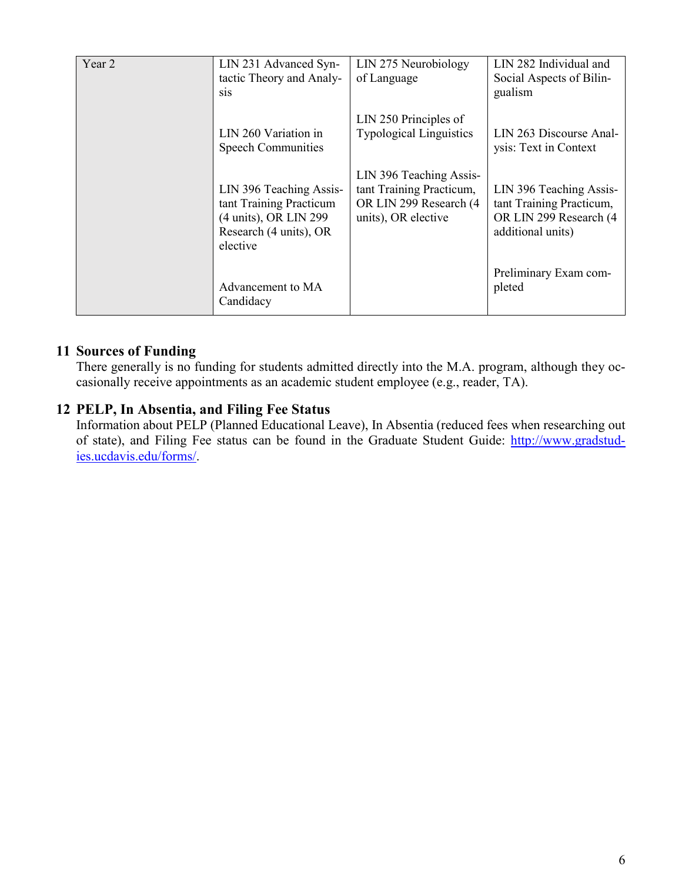| Year 2 | LIN 231 Advanced Syn-<br>tactic Theory and Analy-<br>sis                                                          | LIN 275 Neurobiology<br>of Language                                                                  | LIN 282 Individual and<br>Social Aspects of Bilin-<br>gualism                                      |
|--------|-------------------------------------------------------------------------------------------------------------------|------------------------------------------------------------------------------------------------------|----------------------------------------------------------------------------------------------------|
|        | LIN 260 Variation in<br><b>Speech Communities</b>                                                                 | LIN 250 Principles of<br><b>Typological Linguistics</b>                                              | LIN 263 Discourse Anal-<br>ysis: Text in Context                                                   |
|        | LIN 396 Teaching Assis-<br>tant Training Practicum<br>(4 units), OR LIN 299<br>Research (4 units), OR<br>elective | LIN 396 Teaching Assis-<br>tant Training Practicum,<br>OR LIN 299 Research (4<br>units), OR elective | LIN 396 Teaching Assis-<br>tant Training Practicum,<br>OR LIN 299 Research (4<br>additional units) |
|        | Advancement to MA<br>Candidacy                                                                                    |                                                                                                      | Preliminary Exam com-<br>pleted                                                                    |

# **11 Sources of Funding**

There generally is no funding for students admitted directly into the M.A. program, although they occasionally receive appointments as an academic student employee (e.g., reader, TA).

### **12 PELP, In Absentia, and Filing Fee Status**

Information about PELP (Planned Educational Leave), In Absentia (reduced fees when researching out of state), and Filing Fee status can be found in the Graduate Student Guide: [http://www.gradstud](http://www.gradstudies.ucdavis.edu/forms/)[ies.ucdavis.edu/forms/.](http://www.gradstudies.ucdavis.edu/forms/)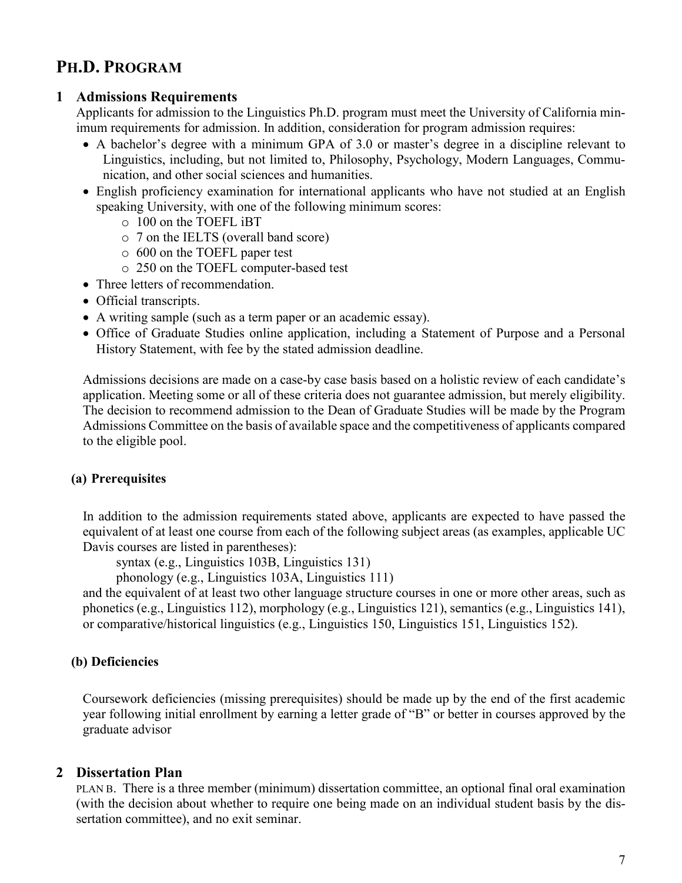# **PH.D. PROGRAM**

#### **1 Admissions Requirements**

Applicants for admission to the Linguistics Ph.D. program must meet the University of California minimum requirements for admission. In addition, consideration for program admission requires:

- A bachelor's degree with a minimum GPA of 3.0 or master's degree in a discipline relevant to Linguistics, including, but not limited to, Philosophy, Psychology, Modern Languages, Communication, and other social sciences and humanities.
- English proficiency examination for international applicants who have not studied at an English speaking University, with one of the following minimum scores:
	- o 100 on the TOEFL iBT
	- o 7 on the IELTS (overall band score)
	- o 600 on the TOEFL paper test
	- o 250 on the TOEFL computer-based test
- Three letters of recommendation.
- Official transcripts.
- A writing sample (such as a term paper or an academic essay).
- Office of Graduate Studies online application, including a Statement of Purpose and a Personal History Statement, with fee by the stated admission deadline.

Admissions decisions are made on a case-by case basis based on a holistic review of each candidate's application. Meeting some or all of these criteria does not guarantee admission, but merely eligibility. The decision to recommend admission to the Dean of Graduate Studies will be made by the Program Admissions Committee on the basis of available space and the competitiveness of applicants compared to the eligible pool.

#### **(a) Prerequisites**

In addition to the admission requirements stated above, applicants are expected to have passed the equivalent of at least one course from each of the following subject areas (as examples, applicable UC Davis courses are listed in parentheses):

syntax (e.g., Linguistics 103B, Linguistics 131)

phonology (e.g., Linguistics 103A, Linguistics 111)

and the equivalent of at least two other language structure courses in one or more other areas, such as phonetics (e.g., Linguistics 112), morphology (e.g., Linguistics 121), semantics (e.g., Linguistics 141), or comparative/historical linguistics (e.g., Linguistics 150, Linguistics 151, Linguistics 152).

#### **(b) Deficiencies**

Coursework deficiencies (missing prerequisites) should be made up by the end of the first academic year following initial enrollment by earning a letter grade of "B" or better in courses approved by the graduate advisor

#### **2 Dissertation Plan**

PLAN B. There is a three member (minimum) dissertation committee, an optional final oral examination (with the decision about whether to require one being made on an individual student basis by the dissertation committee), and no exit seminar.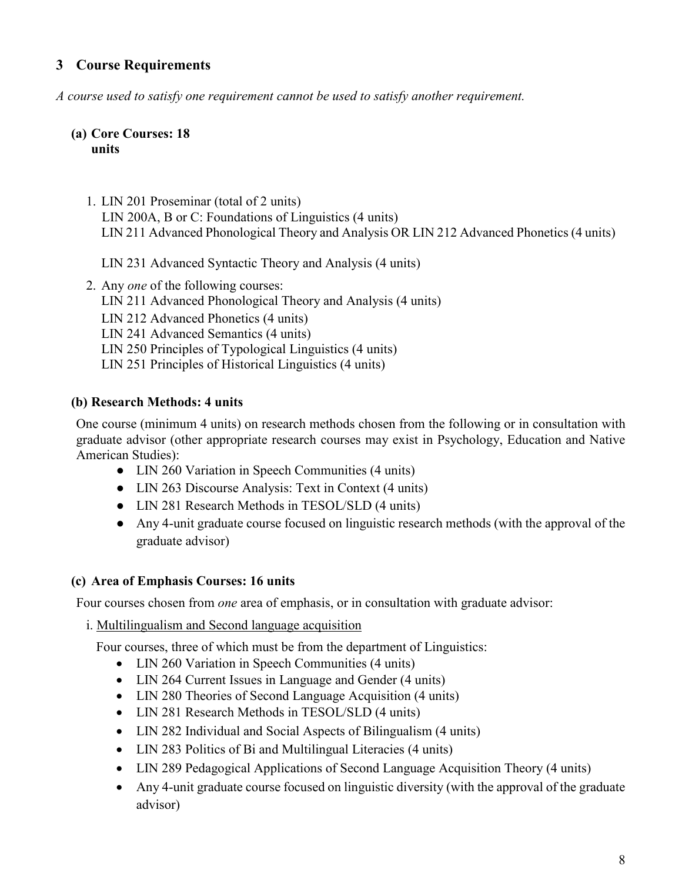# **3 Course Requirements**

*A course used to satisfy one requirement cannot be used to satisfy another requirement.* 

#### **(a) Core Courses: 18 units**

1. LIN 201 Proseminar (total of 2 units) LIN 200A, B or C: Foundations of Linguistics (4 units) LIN 211 Advanced Phonological Theory and Analysis OR LIN 212 Advanced Phonetics (4 units)

LIN 231 Advanced Syntactic Theory and Analysis (4 units)

2. Any *one* of the following courses: LIN 211 Advanced Phonological Theory and Analysis (4 units) LIN 212 Advanced Phonetics (4 units) LIN 241 Advanced Semantics (4 units) LIN 250 Principles of Typological Linguistics (4 units) LIN 251 Principles of Historical Linguistics (4 units)

#### **(b) Research Methods: 4 units**

One course (minimum 4 units) on research methods chosen from the following or in consultation with graduate advisor (other appropriate research courses may exist in Psychology, Education and Native American Studies):

- LIN 260 Variation in Speech Communities (4 units)
- LIN 263 Discourse Analysis: Text in Context (4 units)
- LIN 281 Research Methods in TESOL/SLD (4 units)
- Any 4-unit graduate course focused on linguistic research methods (with the approval of the graduate advisor)

#### **(c) Area of Emphasis Courses: 16 units**

Four courses chosen from *one* area of emphasis, or in consultation with graduate advisor:

i. Multilingualism and Second language acquisition

Four courses, three of which must be from the department of Linguistics:

- LIN 260 Variation in Speech Communities (4 units)
- LIN 264 Current Issues in Language and Gender (4 units)
- LIN 280 Theories of Second Language Acquisition (4 units)
- LIN 281 Research Methods in TESOL/SLD (4 units)
- LIN 282 Individual and Social Aspects of Bilingualism (4 units)
- LIN 283 Politics of Bi and Multilingual Literacies (4 units)
- LIN 289 Pedagogical Applications of Second Language Acquisition Theory (4 units)
- Any 4-unit graduate course focused on linguistic diversity (with the approval of the graduate advisor)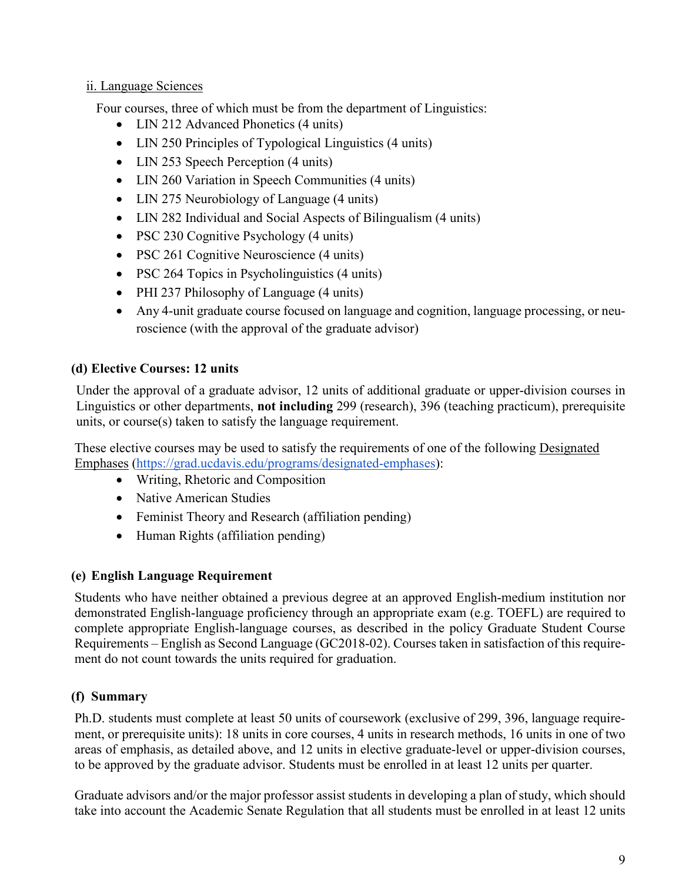### ii. Language Sciences

Four courses, three of which must be from the department of Linguistics:

- LIN 212 Advanced Phonetics (4 units)
- LIN 250 Principles of Typological Linguistics (4 units)
- LIN 253 Speech Perception (4 units)
- LIN 260 Variation in Speech Communities (4 units)
- LIN 275 Neurobiology of Language (4 units)
- LIN 282 Individual and Social Aspects of Bilingualism (4 units)
- PSC 230 Cognitive Psychology (4 units)
- PSC 261 Cognitive Neuroscience (4 units)
- PSC 264 Topics in Psycholinguistics (4 units)
- PHI 237 Philosophy of Language (4 units)
- Any 4-unit graduate course focused on language and cognition, language processing, or neuroscience (with the approval of the graduate advisor)

# **(d) Elective Courses: 12 units**

Under the approval of a graduate advisor, 12 units of additional graduate or upper-division courses in Linguistics or other departments, **not including** 299 (research), 396 (teaching practicum), prerequisite units, or course(s) taken to satisfy the language requirement.

These elective courses may be used to satisfy the requirements of one of the following Designated Emphases [\(https://grad.ucdavis.edu/programs/designated-emphases\)](https://grad.ucdavis.edu/programs/designated-emphases):

- Writing, Rhetoric and Composition
- Native American Studies
- Feminist Theory and Research (affiliation pending)
- Human Rights (affiliation pending)

## **(e) English Language Requirement**

Students who have neither obtained a previous degree at an approved English-medium institution nor demonstrated English-language proficiency through an appropriate exam (e.g. TOEFL) are required to complete appropriate English-language courses, as described in the policy Graduate Student Course Requirements – English as Second Language (GC2018-02). Courses taken in satisfaction of this requirement do not count towards the units required for graduation.

# **(f) Summary**

Ph.D. students must complete at least 50 units of coursework (exclusive of 299, 396, language requirement, or prerequisite units): 18 units in core courses, 4 units in research methods, 16 units in one of two areas of emphasis, as detailed above, and 12 units in elective graduate-level or upper-division courses, to be approved by the graduate advisor. Students must be enrolled in at least 12 units per quarter.

Graduate advisors and/or the major professor assist students in developing a plan of study, which should take into account the Academic Senate Regulation that all students must be enrolled in at least 12 units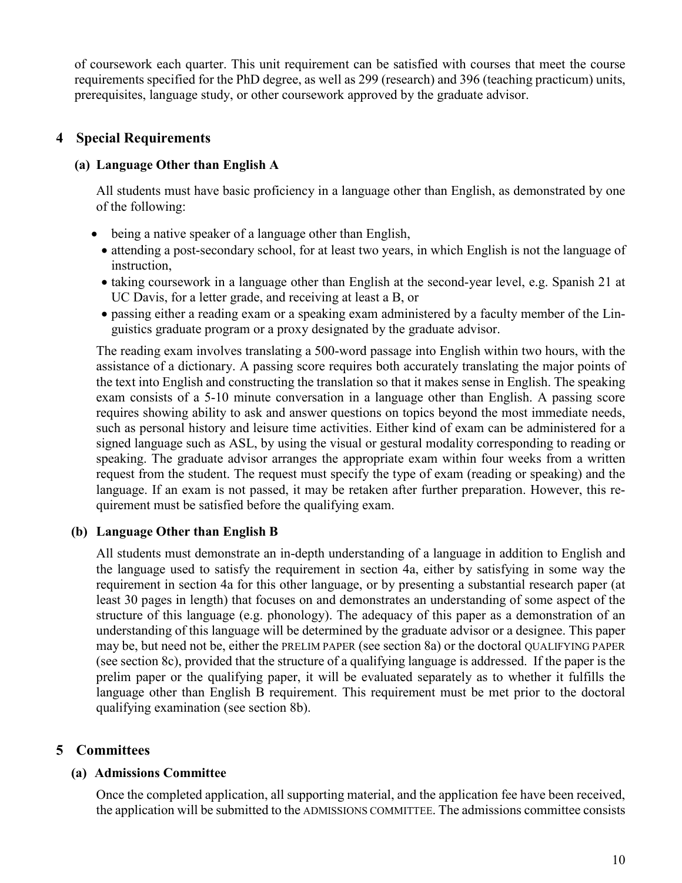of coursework each quarter. This unit requirement can be satisfied with courses that meet the course requirements specified for the PhD degree, as well as 299 (research) and 396 (teaching practicum) units, prerequisites, language study, or other coursework approved by the graduate advisor.

### **4 Special Requirements**

#### **(a) Language Other than English A**

All students must have basic proficiency in a language other than English, as demonstrated by one of the following:

- being a native speaker of a language other than English,
	- attending a post-secondary school, for at least two years, in which English is not the language of instruction,
	- taking coursework in a language other than English at the second-year level, e.g. Spanish 21 at UC Davis, for a letter grade, and receiving at least a B, or
	- passing either a reading exam or a speaking exam administered by a faculty member of the Linguistics graduate program or a proxy designated by the graduate advisor.

The reading exam involves translating a 500-word passage into English within two hours, with the assistance of a dictionary. A passing score requires both accurately translating the major points of the text into English and constructing the translation so that it makes sense in English. The speaking exam consists of a 5-10 minute conversation in a language other than English. A passing score requires showing ability to ask and answer questions on topics beyond the most immediate needs, such as personal history and leisure time activities. Either kind of exam can be administered for a signed language such as ASL, by using the visual or gestural modality corresponding to reading or speaking. The graduate advisor arranges the appropriate exam within four weeks from a written request from the student. The request must specify the type of exam (reading or speaking) and the language. If an exam is not passed, it may be retaken after further preparation. However, this requirement must be satisfied before the qualifying exam.

#### **(b) Language Other than English B**

All students must demonstrate an in-depth understanding of a language in addition to English and the language used to satisfy the requirement in section 4a, either by satisfying in some way the requirement in section 4a for this other language, or by presenting a substantial research paper (at least 30 pages in length) that focuses on and demonstrates an understanding of some aspect of the structure of this language (e.g. phonology). The adequacy of this paper as a demonstration of an understanding of this language will be determined by the graduate advisor or a designee. This paper may be, but need not be, either the PRELIM PAPER (see section 8a) or the doctoral QUALIFYING PAPER (see section 8c), provided that the structure of a qualifying language is addressed. If the paper is the prelim paper or the qualifying paper, it will be evaluated separately as to whether it fulfills the language other than English B requirement. This requirement must be met prior to the doctoral qualifying examination (see section 8b).

#### **5 Committees**

#### **(a) Admissions Committee**

Once the completed application, all supporting material, and the application fee have been received, the application will be submitted to the ADMISSIONS COMMITTEE. The admissions committee consists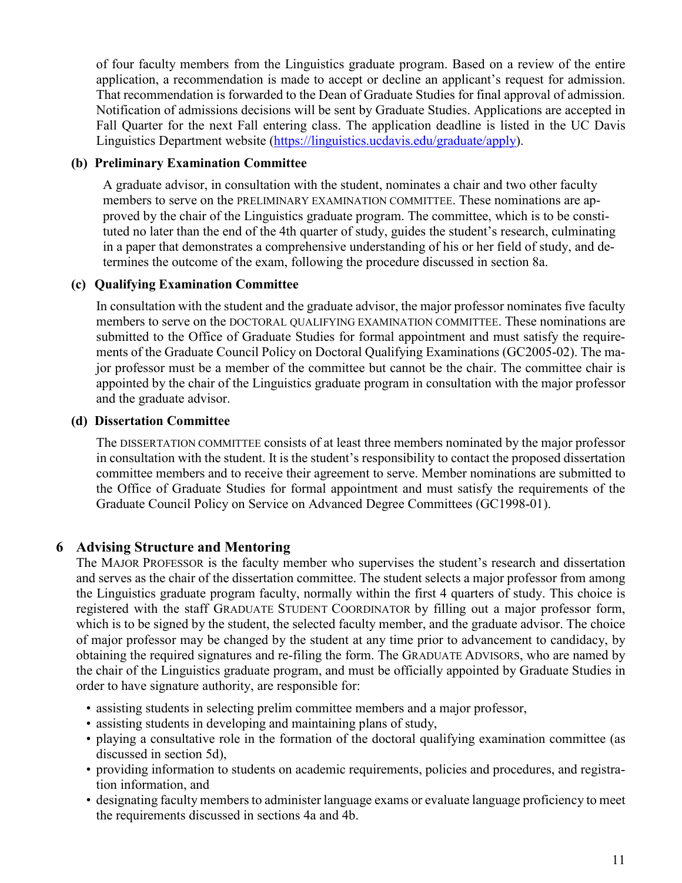of four faculty members from the Linguistics graduate program. Based on a review of the entire application, a recommendation is made to accept or decline an applicant's request for admission. That recommendation is forwarded to the Dean of Graduate Studies for final approval of admission. Notification of admissions decisions will be sent by Graduate Studies. Applications are accepted in Fall Quarter for the next Fall entering class. The application deadline is listed in the UC Davis Linguistics Department website [\(https://linguistics.ucdavis.edu/graduate/apply\)](https://linguistics.ucdavis.edu/graduate/apply).

### **(b) Preliminary Examination Committee**

A graduate advisor, in consultation with the student, nominates a chair and two other faculty members to serve on the PRELIMINARY EXAMINATION COMMITTEE. These nominations are approved by the chair of the Linguistics graduate program. The committee, which is to be constituted no later than the end of the 4th quarter of study, guides the student's research, culminating in a paper that demonstrates a comprehensive understanding of his or her field of study, and determines the outcome of the exam, following the procedure discussed in section 8a.

### **(c) Qualifying Examination Committee**

In consultation with the student and the graduate advisor, the major professor nominates five faculty members to serve on the DOCTORAL QUALIFYING EXAMINATION COMMITTEE. These nominations are submitted to the Office of Graduate Studies for formal appointment and must satisfy the requirements of the Graduate Council Policy on Doctoral Qualifying Examinations (GC2005-02). The major professor must be a member of the committee but cannot be the chair. The committee chair is appointed by the chair of the Linguistics graduate program in consultation with the major professor and the graduate advisor.

#### **(d) Dissertation Committee**

The DISSERTATION COMMITTEE consists of at least three members nominated by the major professor in consultation with the student. It is the student's responsibility to contact the proposed dissertation committee members and to receive their agreement to serve. Member nominations are submitted to the Office of Graduate Studies for formal appointment and must satisfy the requirements of the Graduate Council Policy on Service on Advanced Degree Committees (GC1998-01).

## **6 Advising Structure and Mentoring**

The MAJOR PROFESSOR is the faculty member who supervises the student's research and dissertation and serves as the chair of the dissertation committee. The student selects a major professor from among the Linguistics graduate program faculty, normally within the first 4 quarters of study. This choice is registered with the staff GRADUATE STUDENT COORDINATOR by filling out a major professor form, which is to be signed by the student, the selected faculty member, and the graduate advisor. The choice of major professor may be changed by the student at any time prior to advancement to candidacy, by obtaining the required signatures and re-filing the form. The GRADUATE ADVISORS, who are named by the chair of the Linguistics graduate program, and must be officially appointed by Graduate Studies in order to have signature authority, are responsible for:

- assisting students in selecting prelim committee members and a major professor,
- assisting students in developing and maintaining plans of study,
- playing a consultative role in the formation of the doctoral qualifying examination committee (as discussed in section 5d),
- providing information to students on academic requirements, policies and procedures, and registration information, and
- designating faculty members to administer language exams or evaluate language proficiency to meet the requirements discussed in sections 4a and 4b.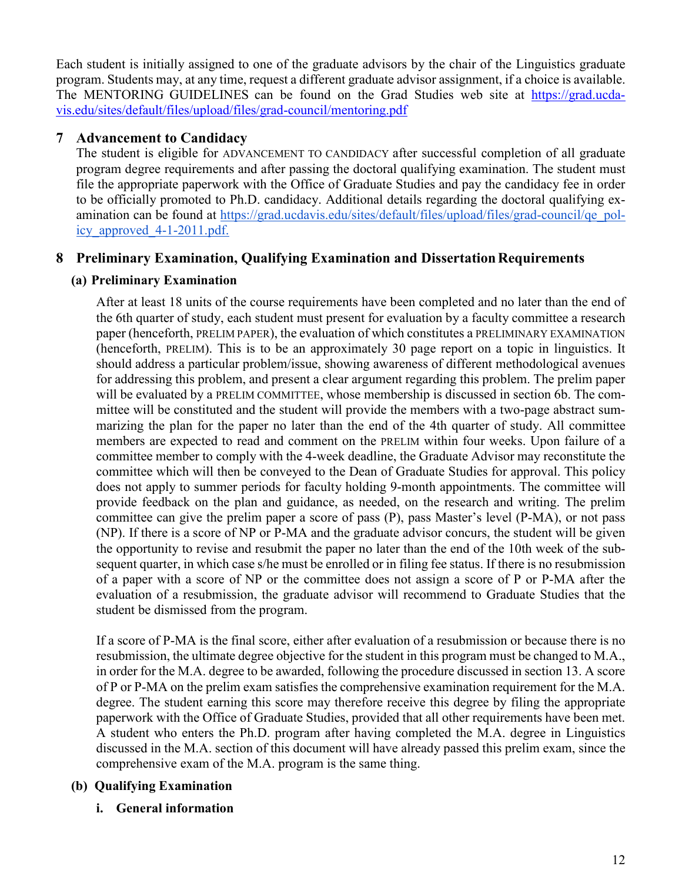Each student is initially assigned to one of the graduate advisors by the chair of the Linguistics graduate program. Students may, at any time, request a different graduate advisor assignment, if a choice is available. The MENTORING GUIDELINES can be found on the Grad Studies web site at [https://grad.ucda](https://grad.ucdavis.edu/sites/default/files/upload/files/grad-council/mentoring.pdf)[vis.edu/sites/default/files/upload/files/grad-council/mentoring.pdf](https://grad.ucdavis.edu/sites/default/files/upload/files/grad-council/mentoring.pdf)

# **7 Advancement to Candidacy**

The student is eligible for ADVANCEMENT TO CANDIDACY after successful completion of all graduate program degree requirements and after passing the doctoral qualifying examination. The student must file the appropriate paperwork with the Office of Graduate Studies and pay the candidacy fee in order to be officially promoted to Ph.D. candidacy. Additional details regarding the doctoral qualifying examination can be found at [https://grad.ucdavis.edu/sites/default/files/upload/files/grad-council/qe\\_pol](https://grad.ucdavis.edu/sites/default/files/upload/files/grad-council/qe_policy_approved_4-1-2011.pdf)[icy\\_approved\\_4-1-2011.pdf.](https://grad.ucdavis.edu/sites/default/files/upload/files/grad-council/qe_policy_approved_4-1-2011.pdf)

# **8 Preliminary Examination, Qualifying Examination and Dissertation Requirements**

## **(a) Preliminary Examination**

After at least 18 units of the course requirements have been completed and no later than the end of the 6th quarter of study, each student must present for evaluation by a faculty committee a research paper (henceforth, PRELIM PAPER), the evaluation of which constitutes a PRELIMINARY EXAMINATION (henceforth, PRELIM). This is to be an approximately 30 page report on a topic in linguistics. It should address a particular problem/issue, showing awareness of different methodological avenues for addressing this problem, and present a clear argument regarding this problem. The prelim paper will be evaluated by a PRELIM COMMITTEE, whose membership is discussed in section 6b. The committee will be constituted and the student will provide the members with a two-page abstract summarizing the plan for the paper no later than the end of the 4th quarter of study. All committee members are expected to read and comment on the PRELIM within four weeks. Upon failure of a committee member to comply with the 4-week deadline, the Graduate Advisor may reconstitute the committee which will then be conveyed to the Dean of Graduate Studies for approval. This policy does not apply to summer periods for faculty holding 9-month appointments. The committee will provide feedback on the plan and guidance, as needed, on the research and writing. The prelim committee can give the prelim paper a score of pass (P), pass Master's level (P-MA), or not pass (NP). If there is a score of NP or P-MA and the graduate advisor concurs, the student will be given the opportunity to revise and resubmit the paper no later than the end of the 10th week of the subsequent quarter, in which case s/he must be enrolled or in filing fee status. If there is no resubmission of a paper with a score of NP or the committee does not assign a score of P or P-MA after the evaluation of a resubmission, the graduate advisor will recommend to Graduate Studies that the student be dismissed from the program.

If a score of P-MA is the final score, either after evaluation of a resubmission or because there is no resubmission, the ultimate degree objective for the student in this program must be changed to M.A., in order for the M.A. degree to be awarded, following the procedure discussed in section 13. A score of P or P-MA on the prelim exam satisfies the comprehensive examination requirement for the M.A. degree. The student earning this score may therefore receive this degree by filing the appropriate paperwork with the Office of Graduate Studies, provided that all other requirements have been met. A student who enters the Ph.D. program after having completed the M.A. degree in Linguistics discussed in the M.A. section of this document will have already passed this prelim exam, since the comprehensive exam of the M.A. program is the same thing.

## **(b) Qualifying Examination**

**i. General information**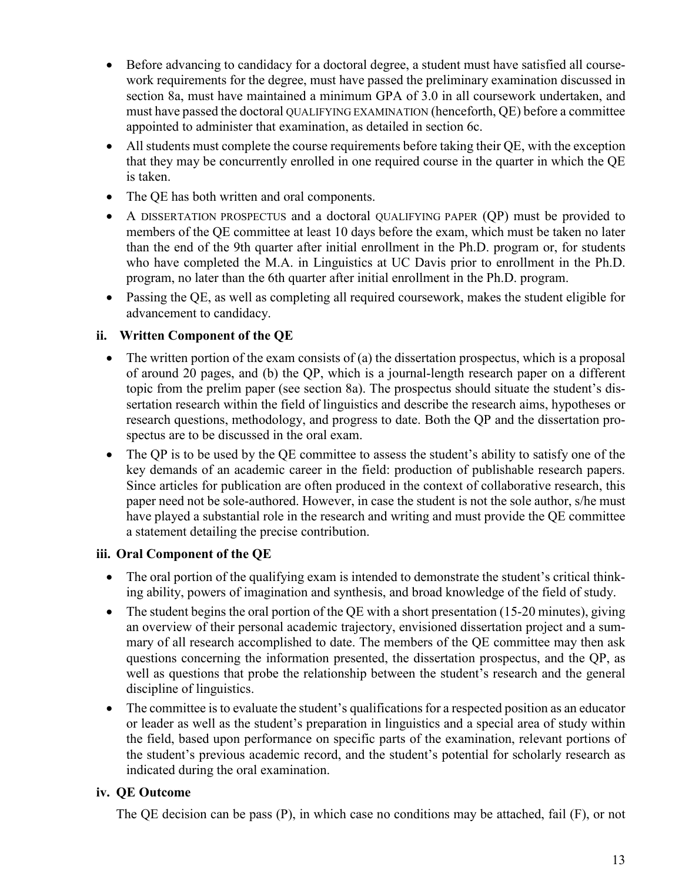- Before advancing to candidacy for a doctoral degree, a student must have satisfied all coursework requirements for the degree, must have passed the preliminary examination discussed in section 8a, must have maintained a minimum GPA of 3.0 in all coursework undertaken, and must have passed the doctoral QUALIFYING EXAMINATION (henceforth, QE) before a committee appointed to administer that examination, as detailed in section 6c.
- All students must complete the course requirements before taking their QE, with the exception that they may be concurrently enrolled in one required course in the quarter in which the QE is taken.
- The QE has both written and oral components.
- A DISSERTATION PROSPECTUS and a doctoral QUALIFYING PAPER (QP) must be provided to members of the QE committee at least 10 days before the exam, which must be taken no later than the end of the 9th quarter after initial enrollment in the Ph.D. program or, for students who have completed the M.A. in Linguistics at UC Davis prior to enrollment in the Ph.D. program, no later than the 6th quarter after initial enrollment in the Ph.D. program.
- Passing the QE, as well as completing all required coursework, makes the student eligible for advancement to candidacy.

### **ii. Written Component of the QE**

- The written portion of the exam consists of (a) the dissertation prospectus, which is a proposal of around 20 pages, and (b) the QP, which is a journal-length research paper on a different topic from the prelim paper (see section 8a). The prospectus should situate the student's dissertation research within the field of linguistics and describe the research aims, hypotheses or research questions, methodology, and progress to date. Both the QP and the dissertation prospectus are to be discussed in the oral exam.
- The QP is to be used by the QE committee to assess the student's ability to satisfy one of the key demands of an academic career in the field: production of publishable research papers. Since articles for publication are often produced in the context of collaborative research, this paper need not be sole-authored. However, in case the student is not the sole author, s/he must have played a substantial role in the research and writing and must provide the QE committee a statement detailing the precise contribution.

#### **iii. Oral Component of the QE**

- The oral portion of the qualifying exam is intended to demonstrate the student's critical thinking ability, powers of imagination and synthesis, and broad knowledge of the field of study.
- The student begins the oral portion of the QE with a short presentation (15-20 minutes), giving an overview of their personal academic trajectory, envisioned dissertation project and a summary of all research accomplished to date. The members of the QE committee may then ask questions concerning the information presented, the dissertation prospectus, and the QP, as well as questions that probe the relationship between the student's research and the general discipline of linguistics.
- The committee is to evaluate the student's qualifications for a respected position as an educator or leader as well as the student's preparation in linguistics and a special area of study within the field, based upon performance on specific parts of the examination, relevant portions of the student's previous academic record, and the student's potential for scholarly research as indicated during the oral examination.

## **iv. QE Outcome**

The QE decision can be pass (P), in which case no conditions may be attached, fail (F), or not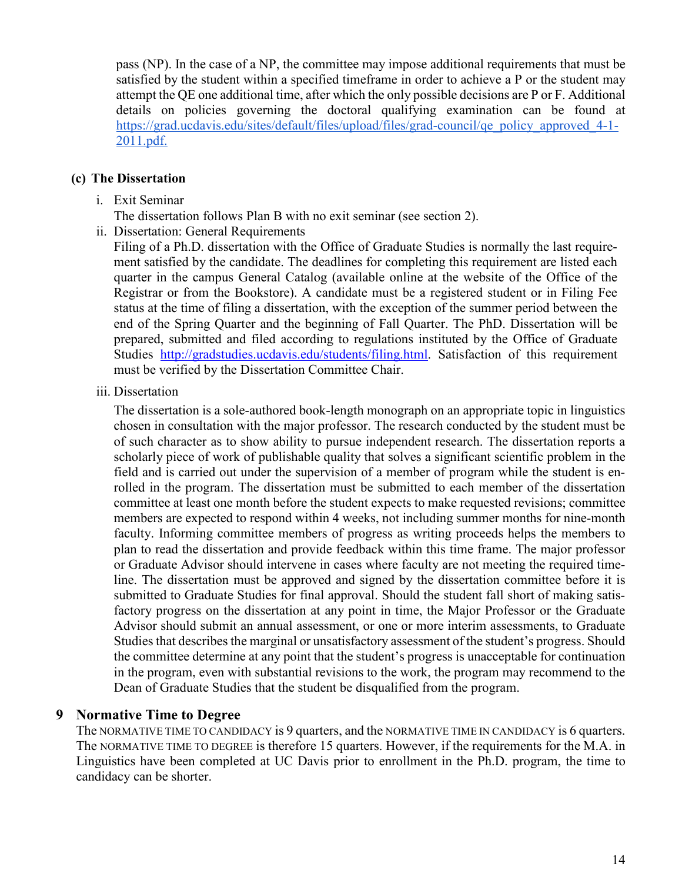pass (NP). In the case of a NP, the committee may impose additional requirements that must be satisfied by the student within a specified timeframe in order to achieve a P or the student may attempt the QE one additional time, after which the only possible decisions are P or F. Additional details on policies governing the doctoral qualifying examination can be found at [https://grad.ucdavis.edu/sites/default/files/upload/files/grad-council/qe\\_policy\\_approved\\_4-1-](https://grad.ucdavis.edu/sites/default/files/upload/files/grad-council/qe_policy_approved_4-1-2011.pdf) [2011.pdf.](https://grad.ucdavis.edu/sites/default/files/upload/files/grad-council/qe_policy_approved_4-1-2011.pdf)

#### **(c) The Dissertation**

- i. Exit Seminar
	- The dissertation follows Plan B with no exit seminar (see section 2).
- ii. Dissertation: General Requirements

Filing of a Ph.D. dissertation with the Office of Graduate Studies is normally the last requirement satisfied by the candidate. The deadlines for completing this requirement are listed each quarter in the campus General Catalog (available online at the website of the Office of the Registrar or from the Bookstore). A candidate must be a registered student or in Filing Fee status at the time of filing a dissertation, with the exception of the summer period between the end of the Spring Quarter and the beginning of Fall Quarter. The PhD. Dissertation will be prepared, submitted and filed according to regulations instituted by the Office of Graduate Studies [http://gradstudies.ucdavis.edu/students/filing.html.](http://gradstudies.ucdavis.edu/students/filing.html) Satisfaction of this requirement must be verified by the Dissertation Committee Chair.

iii. Dissertation

The dissertation is a sole-authored book-length monograph on an appropriate topic in linguistics chosen in consultation with the major professor. The research conducted by the student must be of such character as to show ability to pursue independent research. The dissertation reports a scholarly piece of work of publishable quality that solves a significant scientific problem in the field and is carried out under the supervision of a member of program while the student is enrolled in the program. The dissertation must be submitted to each member of the dissertation committee at least one month before the student expects to make requested revisions; committee members are expected to respond within 4 weeks, not including summer months for nine-month faculty. Informing committee members of progress as writing proceeds helps the members to plan to read the dissertation and provide feedback within this time frame. The major professor or Graduate Advisor should intervene in cases where faculty are not meeting the required timeline. The dissertation must be approved and signed by the dissertation committee before it is submitted to Graduate Studies for final approval. Should the student fall short of making satisfactory progress on the dissertation at any point in time, the Major Professor or the Graduate Advisor should submit an annual assessment, or one or more interim assessments, to Graduate Studies that describes the marginal or unsatisfactory assessment of the student's progress. Should the committee determine at any point that the student's progress is unacceptable for continuation in the program, even with substantial revisions to the work, the program may recommend to the Dean of Graduate Studies that the student be disqualified from the program.

#### **9 Normative Time to Degree**

The NORMATIVE TIME TO CANDIDACY is 9 quarters, and the NORMATIVE TIME IN CANDIDACY is 6 quarters. The NORMATIVE TIME TO DEGREE is therefore 15 quarters. However, if the requirements for the M.A. in Linguistics have been completed at UC Davis prior to enrollment in the Ph.D. program, the time to candidacy can be shorter.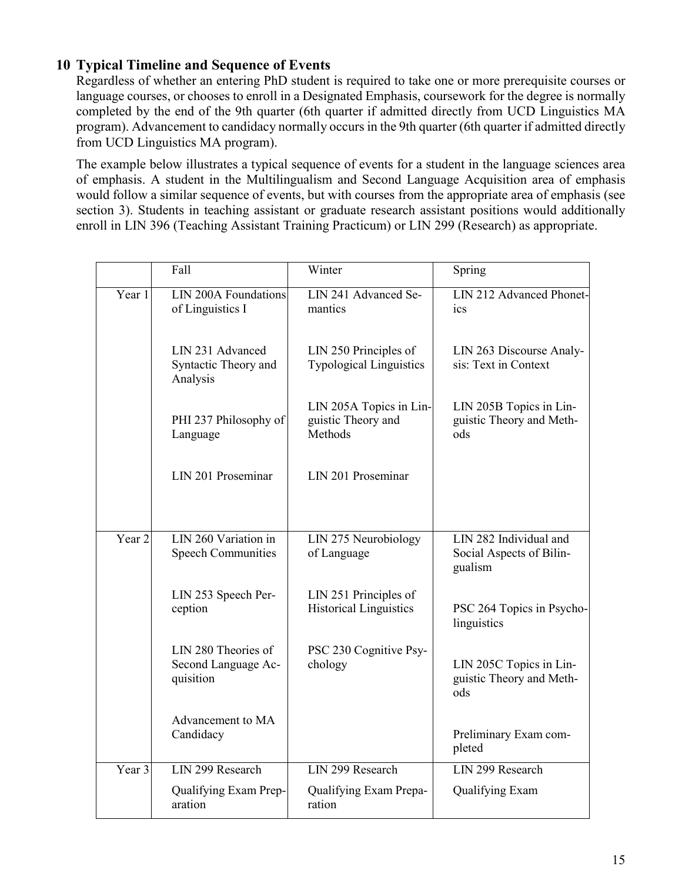## **10 Typical Timeline and Sequence of Events**

Regardless of whether an entering PhD student is required to take one or more prerequisite courses or language courses, or chooses to enroll in a Designated Emphasis, coursework for the degree is normally completed by the end of the 9th quarter (6th quarter if admitted directly from UCD Linguistics MA program). Advancement to candidacy normally occurs in the 9th quarter (6th quarter if admitted directly from UCD Linguistics MA program).

The example below illustrates a typical sequence of events for a student in the language sciences area of emphasis. A student in the Multilingualism and Second Language Acquisition area of emphasis would follow a similar sequence of events, but with courses from the appropriate area of emphasis (see section 3). Students in teaching assistant or graduate research assistant positions would additionally enroll in LIN 396 (Teaching Assistant Training Practicum) or LIN 299 (Research) as appropriate.

|                   | Fall                                                    | Winter                                                   | Spring                                                        |
|-------------------|---------------------------------------------------------|----------------------------------------------------------|---------------------------------------------------------------|
| Year 1            | LIN 200A Foundations<br>of Linguistics I                | LIN 241 Advanced Se-<br>mantics                          | LIN 212 Advanced Phonet-<br>ics                               |
|                   | LIN 231 Advanced<br>Syntactic Theory and<br>Analysis    | LIN 250 Principles of<br><b>Typological Linguistics</b>  | LIN 263 Discourse Analy-<br>sis: Text in Context              |
|                   | PHI 237 Philosophy of<br>Language                       | LIN 205A Topics in Lin-<br>guistic Theory and<br>Methods | LIN 205B Topics in Lin-<br>guistic Theory and Meth-<br>ods    |
|                   | LIN 201 Proseminar                                      | LIN 201 Proseminar                                       |                                                               |
| Year <sub>2</sub> | LIN 260 Variation in<br><b>Speech Communities</b>       | LIN 275 Neurobiology<br>of Language                      | LIN 282 Individual and<br>Social Aspects of Bilin-<br>gualism |
|                   | LIN 253 Speech Per-<br>ception                          | LIN 251 Principles of<br><b>Historical Linguistics</b>   | PSC 264 Topics in Psycho-<br>linguistics                      |
|                   | LIN 280 Theories of<br>Second Language Ac-<br>quisition | PSC 230 Cognitive Psy-<br>chology                        | LIN 205C Topics in Lin-<br>guistic Theory and Meth-<br>ods    |
|                   | Advancement to MA<br>Candidacy                          |                                                          | Preliminary Exam com-<br>pleted                               |
| Year 3            | LIN 299 Research                                        | LIN 299 Research                                         | LIN 299 Research                                              |
|                   | Qualifying Exam Prep-<br>aration                        | Qualifying Exam Prepa-<br>ration                         | Qualifying Exam                                               |